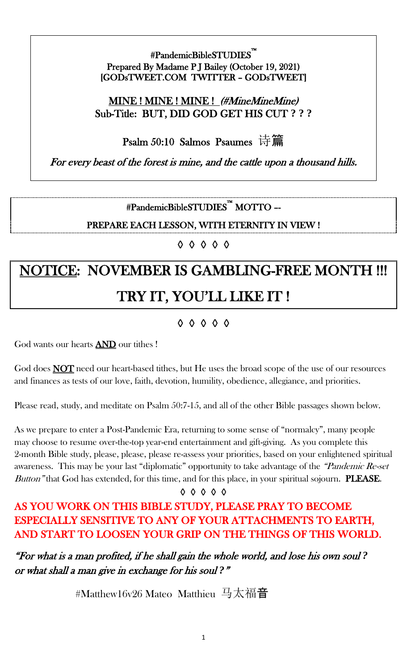#### #PandemicBibleSTUDIES™ i<br>L Prepared By Madame P J Bailey (October 19, 2021) [GODsTWEET.COM TWITTER – GODsTWEET]

### MINE ! MINE ! MINE ! (#MineMineMine) Sub-Title: BUT, DID GOD GET HIS CUT **? ? ?**

Psalm 50:10 Salmos Psaumes 诗篇

For every beast of the forest is mine, and the cattle upon a thousand hills.

#PandemicBibleSTUDIES™ MOTTO –-

PREPARE EACH LESSON, WITH ETERNITY IN VIEW !

◊ ◊ ◊ ◊ ◊

# NOTICE: NOVEMBER IS GAMBLING-FREE MONTH !!! TRY IT, YOU'LL LIKE IT !

## ◊ ◊ ◊ ◊ ◊

God wants our hearts **AND** our tithes !

God does **NOT** need our heart-based tithes, but He uses the broad scope of the use of our resources and finances as tests of our love, faith, devotion, humility, obedience, allegiance, and priorities.

Please read, study, and meditate on Psalm 50:7-15, and all of the other Bible passages shown below.

As we prepare to enter a Post-Pandemic Era, returning to some sense of "normalcy", many people may choose to resume over-the-top year-end entertainment and gift-giving. As you complete this 2-month Bible study, please, please, please re-assess your priorities, based on your enlightened spiritual awareness. This may be your last "diplomatic" opportunity to take advantage of the "Pandemic Re-set" Button" that God has extended, for this time, and for this place, in your spiritual sojourn. **PLEASE.** 

#### ◊ ◊ ◊ ◊ ◊

## AS YOU WORK ON THIS BIBLE STUDY, PLEASE PRAY TO BECOME ESPECIALLY SENSITIVE TO ANY OF YOUR ATTACHMENTS TO EARTH, AND START TO LOOSEN YOUR GRIP ON THE THINGS OF THIS WORLD.

"For what is a man profited, if he shall gain the whole world, and lose his own soul *?*  or what shall a man give in exchange for his soul *?*"

#Matthew16v26 Mateo Matthieu 马太福音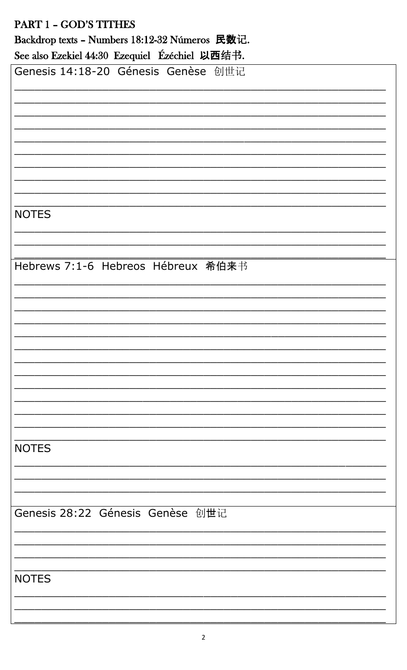| PART 1 - GOD'S TITHES                          |
|------------------------------------------------|
| Backdrop texts - Numbers 18:12-32 Números 民数记. |
| See also Ezekiel 44:30 Ezequiel Ézéchiel 以西结书. |
| Genesis 14:18-20 Génesis Genèse 创世记            |
|                                                |
|                                                |
|                                                |
|                                                |
|                                                |
|                                                |
|                                                |
|                                                |
| <b>NOTES</b>                                   |
|                                                |
|                                                |
|                                                |
| Hebrews 7:1-6 Hebreos Hébreux 希伯来书             |
|                                                |
|                                                |
|                                                |
|                                                |
|                                                |
|                                                |
|                                                |
|                                                |
|                                                |
|                                                |
|                                                |
| <b>NOTES</b>                                   |
|                                                |
|                                                |
|                                                |
| Genesis 28:22 Génesis Genèse 创世记               |
|                                                |
|                                                |
|                                                |
|                                                |
| <b>NOTES</b>                                   |
|                                                |
|                                                |
|                                                |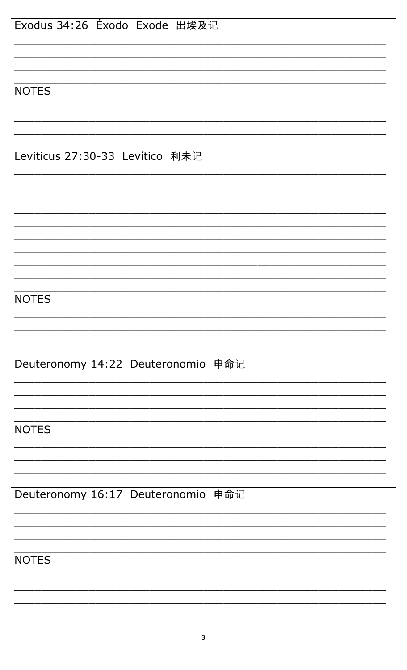| Exodus 34:26 Éxodo Exode 出埃及记      |
|------------------------------------|
|                                    |
|                                    |
|                                    |
|                                    |
| <b>NOTES</b>                       |
|                                    |
|                                    |
|                                    |
|                                    |
| Leviticus 27:30-33 Levítico 利未记    |
|                                    |
|                                    |
|                                    |
|                                    |
|                                    |
|                                    |
|                                    |
|                                    |
|                                    |
|                                    |
|                                    |
| <b>NOTES</b>                       |
|                                    |
|                                    |
|                                    |
|                                    |
| Deuteronomy 14:22 Deuteronomio 申命记 |
|                                    |
|                                    |
|                                    |
|                                    |
| <b>NOTES</b>                       |
|                                    |
|                                    |
|                                    |
|                                    |
| Deuteronomy 16:17 Deuteronomio 申命记 |
|                                    |
|                                    |
|                                    |
|                                    |
| <b>NOTES</b>                       |
|                                    |
|                                    |
|                                    |
|                                    |
|                                    |
|                                    |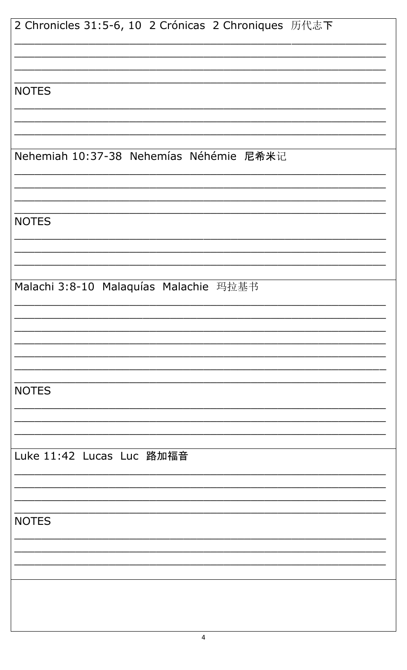| 2 Chronicles 31:5-6, 10 2 Crónicas 2 Chroniques 历代志下 |
|------------------------------------------------------|
|                                                      |
|                                                      |
|                                                      |
|                                                      |
| <b>NOTES</b>                                         |
|                                                      |
|                                                      |
|                                                      |
| Nehemiah 10:37-38 Nehemías Néhémie 尼希米记              |
|                                                      |
|                                                      |
|                                                      |
|                                                      |
| <b>NOTES</b>                                         |
|                                                      |
|                                                      |
|                                                      |
|                                                      |
| Malachi 3:8-10 Malaquías Malachie 玛拉基书               |
|                                                      |
|                                                      |
|                                                      |
|                                                      |
|                                                      |
|                                                      |
|                                                      |
| <b>NOTES</b>                                         |
|                                                      |
|                                                      |
|                                                      |
|                                                      |
| Luke 11:42 Lucas Luc 路加福音                            |
|                                                      |
|                                                      |
|                                                      |
|                                                      |
| <b>NOTES</b>                                         |
|                                                      |
|                                                      |
|                                                      |
|                                                      |
|                                                      |
|                                                      |
|                                                      |
|                                                      |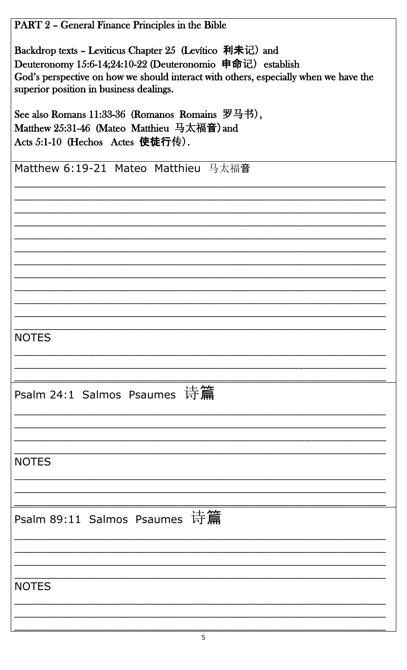| PART 2 - General Finance Principles in the Bible                                                                                                                                                                                                         |
|----------------------------------------------------------------------------------------------------------------------------------------------------------------------------------------------------------------------------------------------------------|
| Backdrop texts – Leviticus Chapter 25 (Levitico 利未记) and<br>Deuteronomy 15:6-14;24:10-22 (Deuteronomio 申命记) establish<br>God's perspective on how we should interact with others, especially when we have the<br>superior position in business dealings. |
| See also Romans 11:33-36 (Romanos Romains $\mathcal{B} \boxplus \dagger$ ),<br>Matthew 25:31-46 (Mateo Matthieu 马太福音) and<br>Acts 5:1-10 (Hechos Actes 使徒行传).                                                                                            |
| Matthew 6:19-21 Mateo Matthieu 马太福音                                                                                                                                                                                                                      |
|                                                                                                                                                                                                                                                          |
|                                                                                                                                                                                                                                                          |
| <b>NOTES</b>                                                                                                                                                                                                                                             |
| Psalm 24:1 Salmos Psaumes 诗篇                                                                                                                                                                                                                             |
|                                                                                                                                                                                                                                                          |
| <b>NOTES</b>                                                                                                                                                                                                                                             |
| Psalm 89:11 Salmos Psaumes 诗篇                                                                                                                                                                                                                            |
| <b>NOTES</b>                                                                                                                                                                                                                                             |
|                                                                                                                                                                                                                                                          |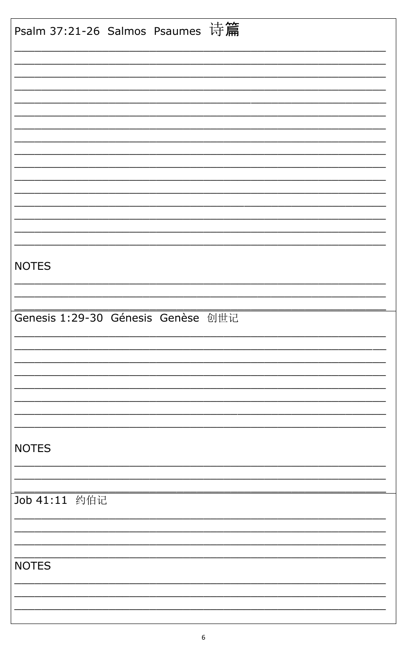| Psalm 37:21-26 Salmos Psaumes 诗篇   |
|------------------------------------|
|                                    |
|                                    |
|                                    |
|                                    |
|                                    |
|                                    |
|                                    |
|                                    |
|                                    |
|                                    |
| <b>NOTES</b>                       |
|                                    |
| Genesis 1:29-30 Génesis Genèse 创世记 |
|                                    |
|                                    |
|                                    |
|                                    |
| <b>NOTES</b>                       |
|                                    |
|                                    |
| Job 41:11 约伯记                      |
|                                    |
|                                    |
| <b>NOTES</b>                       |
|                                    |
|                                    |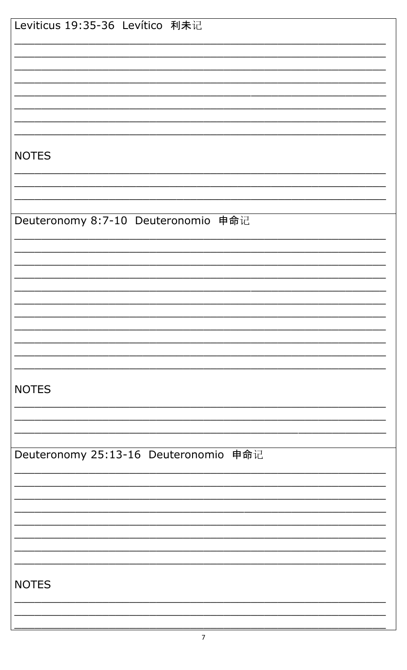| Leviticus 19:35-36 Levítico 利未记       |
|---------------------------------------|
|                                       |
|                                       |
|                                       |
|                                       |
|                                       |
|                                       |
|                                       |
|                                       |
|                                       |
|                                       |
|                                       |
| <b>NOTES</b>                          |
|                                       |
|                                       |
|                                       |
|                                       |
|                                       |
| Deuteronomy 8:7-10 Deuteronomio 申命记   |
|                                       |
|                                       |
|                                       |
|                                       |
|                                       |
|                                       |
|                                       |
|                                       |
|                                       |
|                                       |
|                                       |
|                                       |
|                                       |
|                                       |
| <b>NOTES</b>                          |
|                                       |
|                                       |
|                                       |
|                                       |
|                                       |
| Deuteronomy 25:13-16 Deuteronomio 申命记 |
|                                       |
|                                       |
|                                       |
|                                       |
|                                       |
|                                       |
|                                       |
|                                       |
|                                       |
|                                       |
|                                       |
| <b>NOTES</b>                          |
|                                       |
|                                       |
|                                       |
|                                       |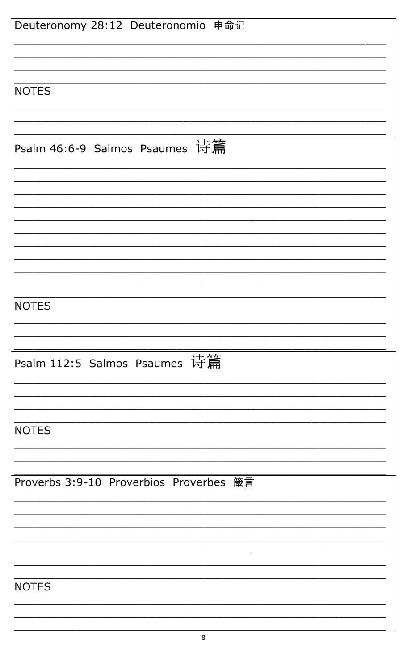| Deuteronomy 28:12 Deuteronomio 申命记      |
|-----------------------------------------|
|                                         |
|                                         |
|                                         |
|                                         |
| <b>NOTES</b>                            |
|                                         |
|                                         |
|                                         |
|                                         |
| Psalm 46:6-9 Salmos Psaumes 诗篇          |
|                                         |
|                                         |
|                                         |
|                                         |
|                                         |
|                                         |
|                                         |
|                                         |
|                                         |
|                                         |
|                                         |
|                                         |
|                                         |
| <b>NOTES</b>                            |
|                                         |
|                                         |
|                                         |
|                                         |
| Psalm 112:5 Salmos Psaumes 诗篇           |
|                                         |
|                                         |
|                                         |
|                                         |
|                                         |
| <b>NOTES</b>                            |
|                                         |
|                                         |
|                                         |
|                                         |
| Proverbs 3:9-10 Proverbios Proverbes 箴言 |
|                                         |
|                                         |
|                                         |
|                                         |
|                                         |
|                                         |
|                                         |
|                                         |
| <b>NOTES</b>                            |
|                                         |
|                                         |
|                                         |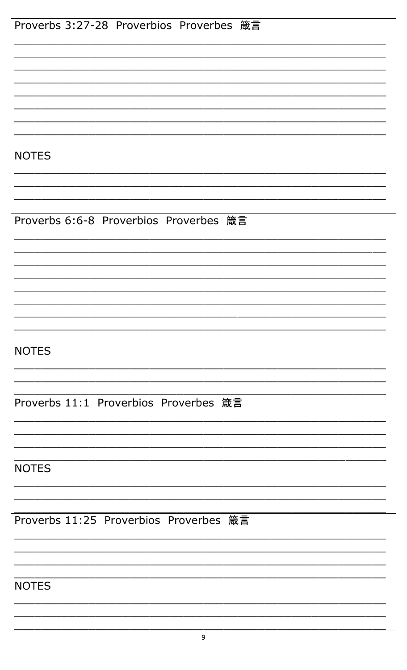| Proverbs 3:27-28 Proverbios Proverbes 箴言 |
|------------------------------------------|
|                                          |
|                                          |
|                                          |
|                                          |
|                                          |
|                                          |
|                                          |
|                                          |
| <b>NOTES</b>                             |
|                                          |
|                                          |
|                                          |
|                                          |
| Proverbs 6:6-8 Proverbios Proverbes 箴言   |
|                                          |
|                                          |
|                                          |
|                                          |
|                                          |
|                                          |
|                                          |
|                                          |
| <b>NOTES</b>                             |
|                                          |
|                                          |
|                                          |
| Proverbs 11:1 Proverbios Proverbes 箴言    |
|                                          |
|                                          |
|                                          |
|                                          |
| <b>NOTES</b>                             |
|                                          |
|                                          |
|                                          |
| Proverbs 11:25 Proverbios Proverbes 箴言   |
|                                          |
|                                          |
|                                          |
|                                          |
| <b>NOTES</b>                             |
|                                          |
|                                          |
|                                          |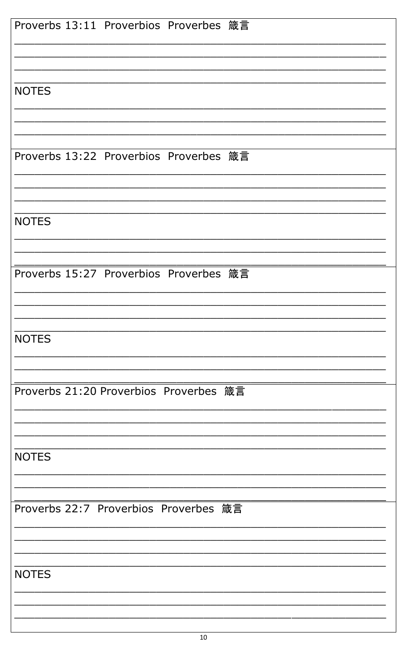| Proverbs 13:11 Proverbios Proverbes 箴言 |
|----------------------------------------|
|                                        |
| <b>NOTES</b>                           |
| Proverbs 13:22 Proverbios Proverbes 箴言 |
|                                        |
| <b>NOTES</b>                           |
| Proverbs 15:27 Proverbios Proverbes 箴言 |
| <b>NOTES</b>                           |
| Proverbs 21:20 Proverbios Proverbes 箴言 |
| <b>NOTES</b>                           |
| Proverbs 22:7 Proverbios Proverbes 箴言  |
|                                        |
| <b>NOTES</b>                           |
|                                        |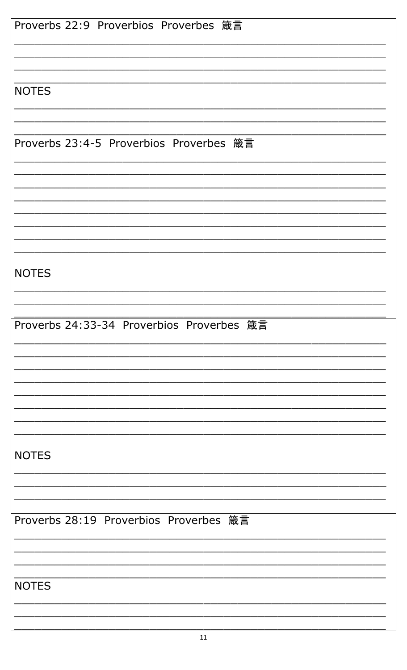| Proverbs 22:9 Proverbios Proverbes 箴言     |
|-------------------------------------------|
| <b>NOTES</b>                              |
| Proverbs 23:4-5 Proverbios Proverbes 箴言   |
|                                           |
|                                           |
| <b>NOTES</b>                              |
| Proverbs 24:33-34 Proverbios Proverbes 箴言 |
|                                           |
|                                           |
| <b>NOTES</b>                              |
| Proverbs 28:19 Proverbios Proverbes 箴言    |
|                                           |
| <b>NOTES</b>                              |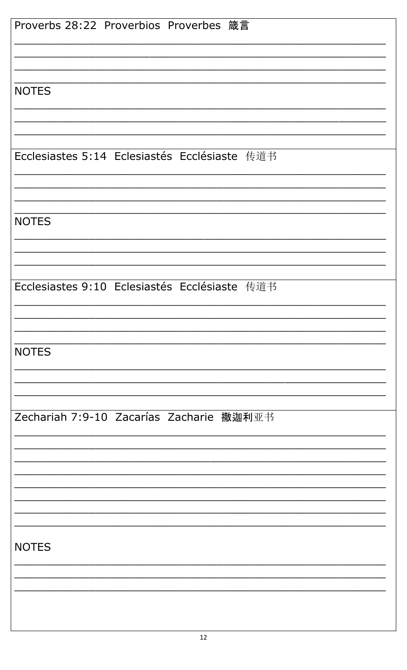| Proverbs 28:22 Proverbios Proverbes 箴言        |
|-----------------------------------------------|
| <b>NOTES</b>                                  |
| Ecclesiastes 5:14 Eclesiastés Ecclésiaste 传道书 |
| <b>NOTES</b>                                  |
| Ecclesiastes 9:10 Eclesiastés Ecclésiaste 传道书 |
| <b>NOTES</b>                                  |
| Zechariah 7:9-10 Zacarías Zacharie 撒迦利亚书      |
|                                               |
| <b>NOTES</b>                                  |
|                                               |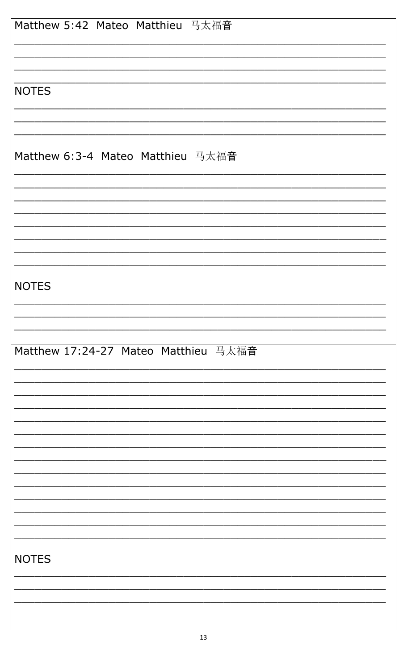| Matthew 5:42 Mateo Matthieu 马太福音     |
|--------------------------------------|
|                                      |
| <b>NOTES</b>                         |
|                                      |
| Matthew 6:3-4 Mateo Matthieu 马太福音    |
|                                      |
|                                      |
| <b>NOTES</b>                         |
|                                      |
| Matthew 17:24-27 Mateo Matthieu 马太福音 |
|                                      |
|                                      |
|                                      |
|                                      |
|                                      |
|                                      |
| <b>NOTES</b>                         |
|                                      |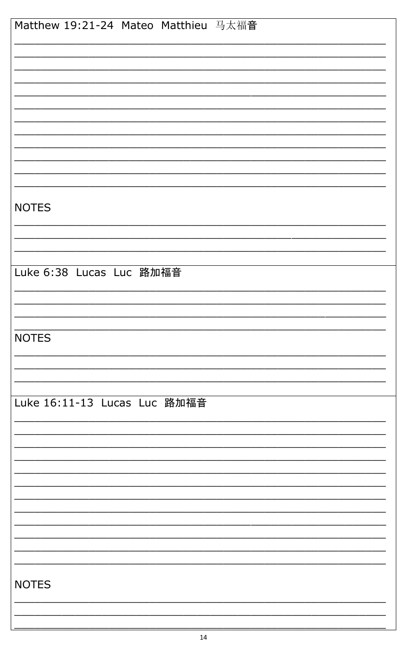| Matthew 19:21-24 Mateo Matthieu 马太福音 |
|--------------------------------------|
|                                      |
|                                      |
|                                      |
|                                      |
|                                      |
|                                      |
|                                      |
|                                      |
|                                      |
|                                      |
|                                      |
|                                      |
|                                      |
| <b>NOTES</b>                         |
|                                      |
|                                      |
|                                      |
|                                      |
| Luke 6:38 Lucas Luc 路加福音             |
|                                      |
|                                      |
|                                      |
|                                      |
| <b>NOTES</b>                         |
|                                      |
|                                      |
|                                      |
|                                      |
| Luke 16:11-13 Lucas Luc 路加福音         |
|                                      |
|                                      |
|                                      |
|                                      |
|                                      |
|                                      |
|                                      |
|                                      |
|                                      |
|                                      |
|                                      |
|                                      |
| <b>NOTES</b>                         |
|                                      |
|                                      |
|                                      |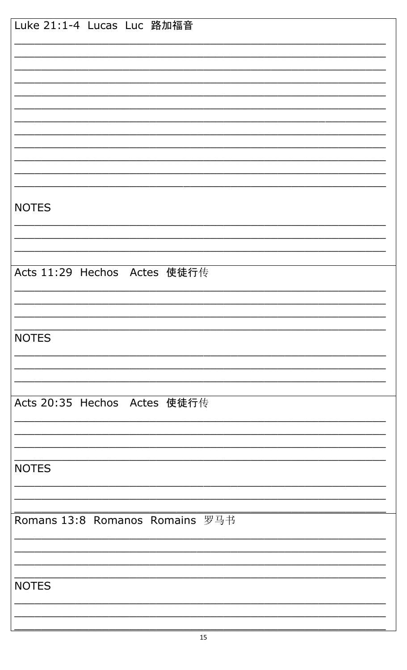| Luke 21:1-4 Lucas Luc 路加福音      |
|---------------------------------|
|                                 |
|                                 |
|                                 |
|                                 |
|                                 |
|                                 |
|                                 |
|                                 |
|                                 |
| <b>NOTES</b>                    |
|                                 |
|                                 |
|                                 |
| Acts 11:29 Hechos Actes 使徒行传    |
|                                 |
|                                 |
|                                 |
| <b>NOTES</b>                    |
|                                 |
|                                 |
|                                 |
| Acts 20:35 Hechos Actes 使徒行传    |
|                                 |
|                                 |
| <b>NOTES</b>                    |
|                                 |
|                                 |
| Romans 13:8 Romanos Romains 罗马书 |
|                                 |
|                                 |
|                                 |
| <b>NOTES</b>                    |
|                                 |
|                                 |
|                                 |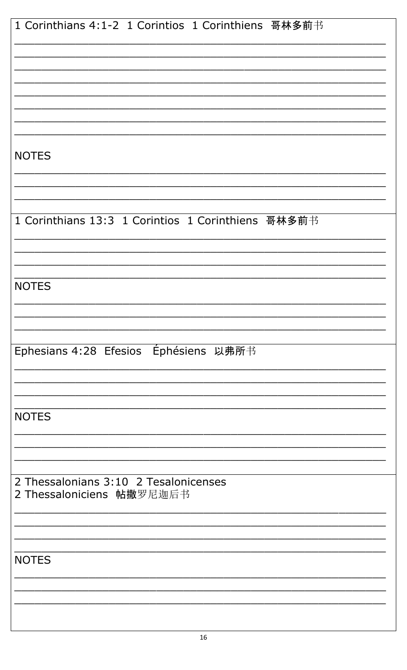| 1 Corinthians 4:1-2 1 Corintios 1 Corinthiens 哥林多前书                |
|--------------------------------------------------------------------|
|                                                                    |
|                                                                    |
|                                                                    |
|                                                                    |
| <b>NOTES</b>                                                       |
|                                                                    |
|                                                                    |
| 1 Corinthians 13:3 1 Corintios 1 Corinthiens 哥林多前书                 |
|                                                                    |
|                                                                    |
| <b>NOTES</b>                                                       |
|                                                                    |
| Ephesians 4:28 Efesios Ephesiens 以弗所书                              |
|                                                                    |
|                                                                    |
| <b>NOTES</b>                                                       |
|                                                                    |
|                                                                    |
| 2 Thessalonians 3:10 2 Tesalonicenses<br>2 Thessaloniciens 帖撒罗尼迦后书 |
|                                                                    |
|                                                                    |
| <b>NOTES</b>                                                       |
|                                                                    |
|                                                                    |
|                                                                    |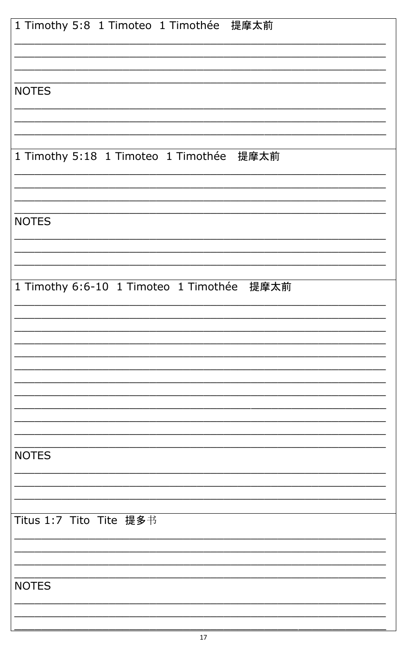| 1 Timothy 5:8 1 Timoteo 1 Timothée 提摩太前    |
|--------------------------------------------|
|                                            |
| <b>NOTES</b>                               |
|                                            |
| 1 Timothy 5:18 1 Timoteo 1 Timothée 提摩太前   |
|                                            |
| <b>NOTES</b>                               |
|                                            |
| 1 Timothy 6:6-10 1 Timoteo 1 Timothée 提摩太前 |
|                                            |
|                                            |
|                                            |
|                                            |
| <b>NOTES</b>                               |
|                                            |
| Titus 1:7 Tito Tite 提多书                    |
|                                            |
| <b>NOTES</b>                               |
|                                            |